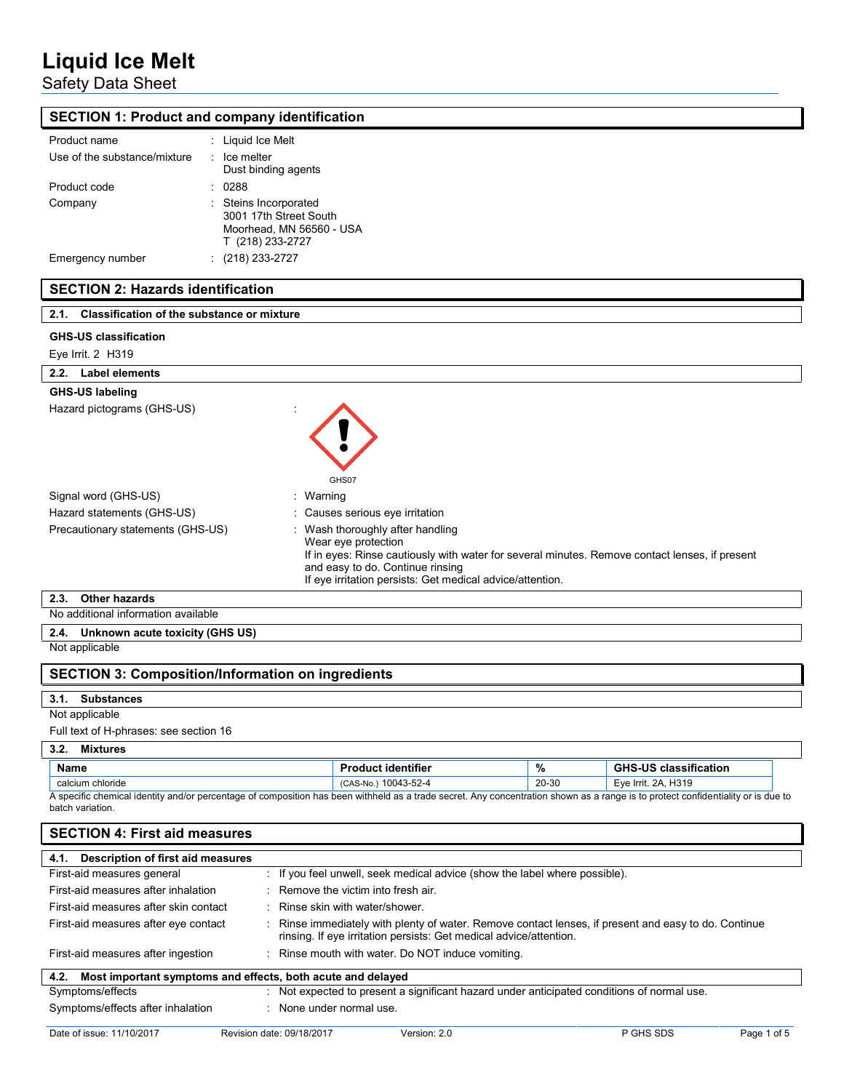## Safety Data Sheet

## **SECTION 1: Product and company identification**

| Product name                 | : Liquid Ice Melt                                                                               |
|------------------------------|-------------------------------------------------------------------------------------------------|
| Use of the substance/mixture | $:$ Ice melter<br>Dust binding agents                                                           |
| Product code                 | 0288                                                                                            |
| Company                      | : Steins Incorporated<br>3001 17th Street South<br>Moorhead, MN 56560 - USA<br>T (218) 233-2727 |
| Emergency number             | (218) 233-2727                                                                                  |

## **SECTION 2: Hazards identification**

| <b>Classification of the substance or mixture</b><br>2.1. |                                                                                                                                                                                                                                                            |  |
|-----------------------------------------------------------|------------------------------------------------------------------------------------------------------------------------------------------------------------------------------------------------------------------------------------------------------------|--|
| <b>GHS-US classification</b>                              |                                                                                                                                                                                                                                                            |  |
| Eye Irrit. 2 H319                                         |                                                                                                                                                                                                                                                            |  |
| Label elements<br>2.2.                                    |                                                                                                                                                                                                                                                            |  |
| <b>GHS-US labeling</b>                                    |                                                                                                                                                                                                                                                            |  |
| Hazard pictograms (GHS-US)                                | GHS07                                                                                                                                                                                                                                                      |  |
| Signal word (GHS-US)                                      | : Warning                                                                                                                                                                                                                                                  |  |
| Hazard statements (GHS-US)                                | : Causes serious eye irritation                                                                                                                                                                                                                            |  |
| Precautionary statements (GHS-US)                         | : Wash thoroughly after handling<br>Wear eye protection<br>If in eyes: Rinse cautiously with water for several minutes. Remove contact lenses, if present<br>and easy to do. Continue rinsing<br>If eye irritation persists: Get medical advice/attention. |  |
| <b>Other hazards</b><br>2.3.                              |                                                                                                                                                                                                                                                            |  |
| No additional information available                       |                                                                                                                                                                                                                                                            |  |
| Unknown acute toxicity (GHS US)<br>2.4.                   |                                                                                                                                                                                                                                                            |  |
| Not applicable                                            |                                                                                                                                                                                                                                                            |  |
| <b>SECTION 3: Composition/Information on ingredients</b>  |                                                                                                                                                                                                                                                            |  |
| 24<br><b>Cubotonoon</b>                                   |                                                                                                                                                                                                                                                            |  |

## **3.1. Substances**

Not applicable

Full text of H-phrases: see section 16

#### **3.2. Mixtures**

|                                                                                                                                                                                                      | .<br>            |                           |       |                              |
|------------------------------------------------------------------------------------------------------------------------------------------------------------------------------------------------------|------------------|---------------------------|-------|------------------------------|
|                                                                                                                                                                                                      | Name             | <b>Product identifier</b> | %     | <b>GHS-US classification</b> |
|                                                                                                                                                                                                      | calcium chloride | (CAS-No.) 10043-52-4      | 20-30 | Eye Irrit. 2A, H319          |
| A specific chemical identity and/or percentage of composition has been withheld as a trade secret. Any concentration shown as a range is to protect confidentiality or is due to<br>batch variation. |                  |                           |       |                              |

| <b>SECTION 4: First aid measures</b>                                |                                                                                                                                                                            |  |  |  |
|---------------------------------------------------------------------|----------------------------------------------------------------------------------------------------------------------------------------------------------------------------|--|--|--|
| Description of first aid measures<br>4.1.                           |                                                                                                                                                                            |  |  |  |
| First-aid measures general                                          | : If you feel unwell, seek medical advice (show the label where possible).                                                                                                 |  |  |  |
| First-aid measures after inhalation                                 | $\therefore$ Remove the victim into fresh air.                                                                                                                             |  |  |  |
| First-aid measures after skin contact                               | : Rinse skin with water/shower.                                                                                                                                            |  |  |  |
| First-aid measures after eye contact                                | : Rinse immediately with plenty of water. Remove contact lenses, if present and easy to do. Continue<br>rinsing. If eye irritation persists: Get medical advice/attention. |  |  |  |
| First-aid measures after ingestion                                  | : Rinse mouth with water. Do NOT induce vomiting.                                                                                                                          |  |  |  |
| Most important symptoms and effects, both acute and delayed<br>4.2. |                                                                                                                                                                            |  |  |  |
| Symptoms/effects                                                    | : Not expected to present a significant hazard under anticipated conditions of normal use.                                                                                 |  |  |  |
| Symptoms/effects after inhalation                                   | : None under normal use.                                                                                                                                                   |  |  |  |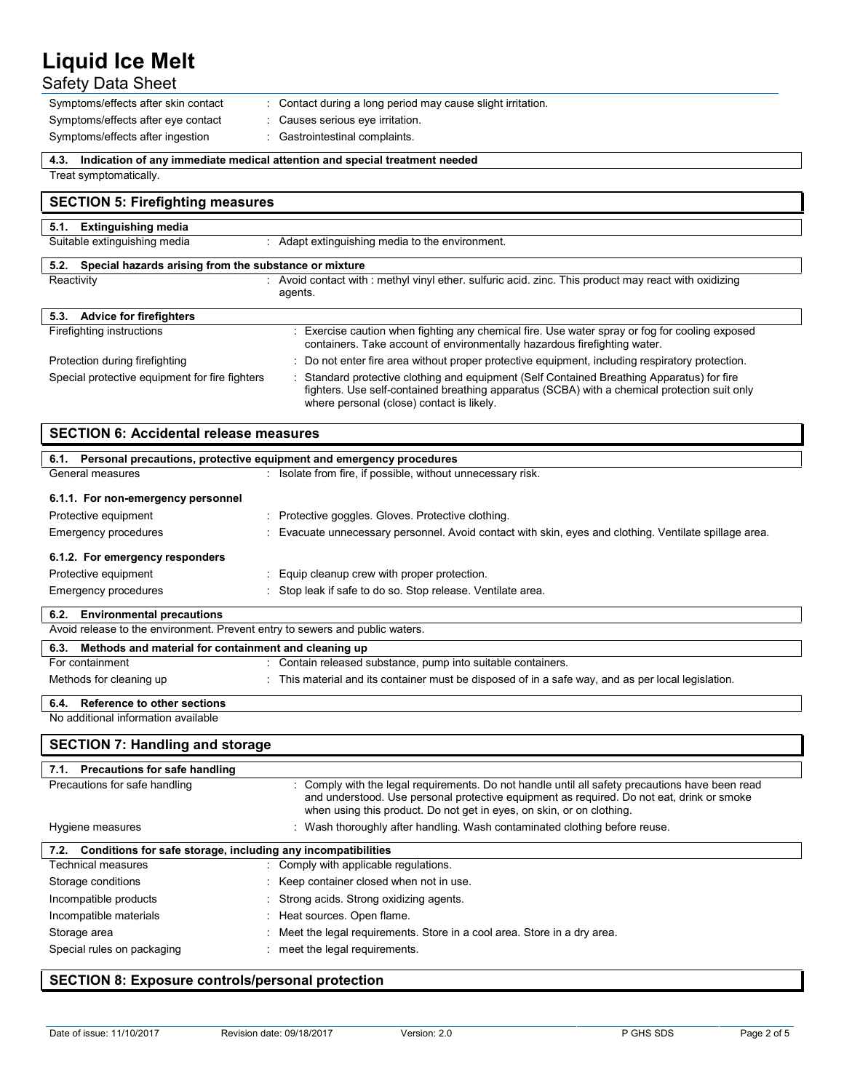## Safety Data Sheet

| Symptoms/effects after skin contact | Contact during a long period may cause slight irritation. |
|-------------------------------------|-----------------------------------------------------------|
| Symptoms/effects after eye contact  | Causes serious eye irritation.                            |
| Symptoms/effects after ingestion    | Gastrointestinal complaints.                              |

**4.3. Indication of any immediate medical attention and special treatment needed**

Treat symptomatically.

| <b>SECTION 5: Firefighting measures</b>                       |                                                                                                                                                                                                                                         |  |
|---------------------------------------------------------------|-----------------------------------------------------------------------------------------------------------------------------------------------------------------------------------------------------------------------------------------|--|
| 5.1. Extinguishing media                                      |                                                                                                                                                                                                                                         |  |
| Suitable extinguishing media                                  | Adapt extinguishing media to the environment.                                                                                                                                                                                           |  |
| Special hazards arising from the substance or mixture<br>5.2. |                                                                                                                                                                                                                                         |  |
| Reactivity                                                    | Avoid contact with: methyl vinyl ether, sulfuric acid, zinc. This product may react with oxidizing<br>agents.                                                                                                                           |  |
| 5.3. Advice for firefighters                                  |                                                                                                                                                                                                                                         |  |
| Firefighting instructions                                     | : Exercise caution when fighting any chemical fire. Use water spray or fog for cooling exposed<br>containers. Take account of environmentally hazardous firefighting water.                                                             |  |
| Protection during firefighting                                | : Do not enter fire area without proper protective equipment, including respiratory protection.                                                                                                                                         |  |
| Special protective equipment for fire fighters                | : Standard protective clothing and equipment (Self Contained Breathing Apparatus) for fire<br>fighters. Use self-contained breathing apparatus (SCBA) with a chemical protection suit only<br>where personal (close) contact is likely. |  |

| <b>SECTION 6: Accidental release measures</b>                            |                                                                                                      |  |  |
|--------------------------------------------------------------------------|------------------------------------------------------------------------------------------------------|--|--|
| 6.1. Personal precautions, protective equipment and emergency procedures |                                                                                                      |  |  |
| General measures                                                         | : Isolate from fire, if possible, without unnecessary risk.                                          |  |  |
| 6.1.1. For non-emergency personnel                                       |                                                                                                      |  |  |
| Protective equipment                                                     | : Protective goggles. Gloves. Protective clothing.                                                   |  |  |
| Emergency procedures                                                     | Evacuate unnecessary personnel. Avoid contact with skin, eyes and clothing. Ventilate spillage area. |  |  |
| 6.1.2. For emergency responders                                          |                                                                                                      |  |  |
| Protective equipment                                                     | Equip cleanup crew with proper protection.                                                           |  |  |
| Emergency procedures                                                     | Stop leak if safe to do so. Stop release. Ventilate area.                                            |  |  |
| 6.2. Environmental precautions                                           |                                                                                                      |  |  |

| <b>V.L.</b> LININGINGING PICCOUNCILS                                         |                                                                                                  |  |
|------------------------------------------------------------------------------|--------------------------------------------------------------------------------------------------|--|
| Avoid release to the environment. Prevent entry to sewers and public waters. |                                                                                                  |  |
| 6.3. Methods and material for containment and cleaning up                    |                                                                                                  |  |
| For containment                                                              | Contain released substance, pump into suitable containers.                                       |  |
| Methods for cleaning up                                                      | This material and its container must be disposed of in a safe way, and as per local legislation. |  |
| Reference to other sections<br>6.4.                                          |                                                                                                  |  |

#### **6.4. Reference to other sections** No additional information available

## **SECTION 7: Handling and storage**

| 7.1. Precautions for safe handling                                |                                                                                                                                                                                                                                                                       |  |  |
|-------------------------------------------------------------------|-----------------------------------------------------------------------------------------------------------------------------------------------------------------------------------------------------------------------------------------------------------------------|--|--|
| Precautions for safe handling                                     | : Comply with the legal requirements. Do not handle until all safety precautions have been read<br>and understood. Use personal protective equipment as required. Do not eat, drink or smoke<br>when using this product. Do not get in eyes, on skin, or on clothing. |  |  |
| Hygiene measures                                                  | : Wash thoroughly after handling. Wash contaminated clothing before reuse.                                                                                                                                                                                            |  |  |
| 7.2. Conditions for safe storage, including any incompatibilities |                                                                                                                                                                                                                                                                       |  |  |
| <b>Technical measures</b>                                         | : Comply with applicable regulations.                                                                                                                                                                                                                                 |  |  |
| Storage conditions                                                | : Keep container closed when not in use.                                                                                                                                                                                                                              |  |  |
| Incompatible products                                             | : Strong acids. Strong oxidizing agents.                                                                                                                                                                                                                              |  |  |
| Incompatible materials                                            | : Heat sources. Open flame.                                                                                                                                                                                                                                           |  |  |
| Storage area                                                      | : Meet the legal requirements. Store in a cool area. Store in a dry area.                                                                                                                                                                                             |  |  |
| Special rules on packaging                                        | meet the legal requirements.                                                                                                                                                                                                                                          |  |  |

## **SECTION 8: Exposure controls/personal protection**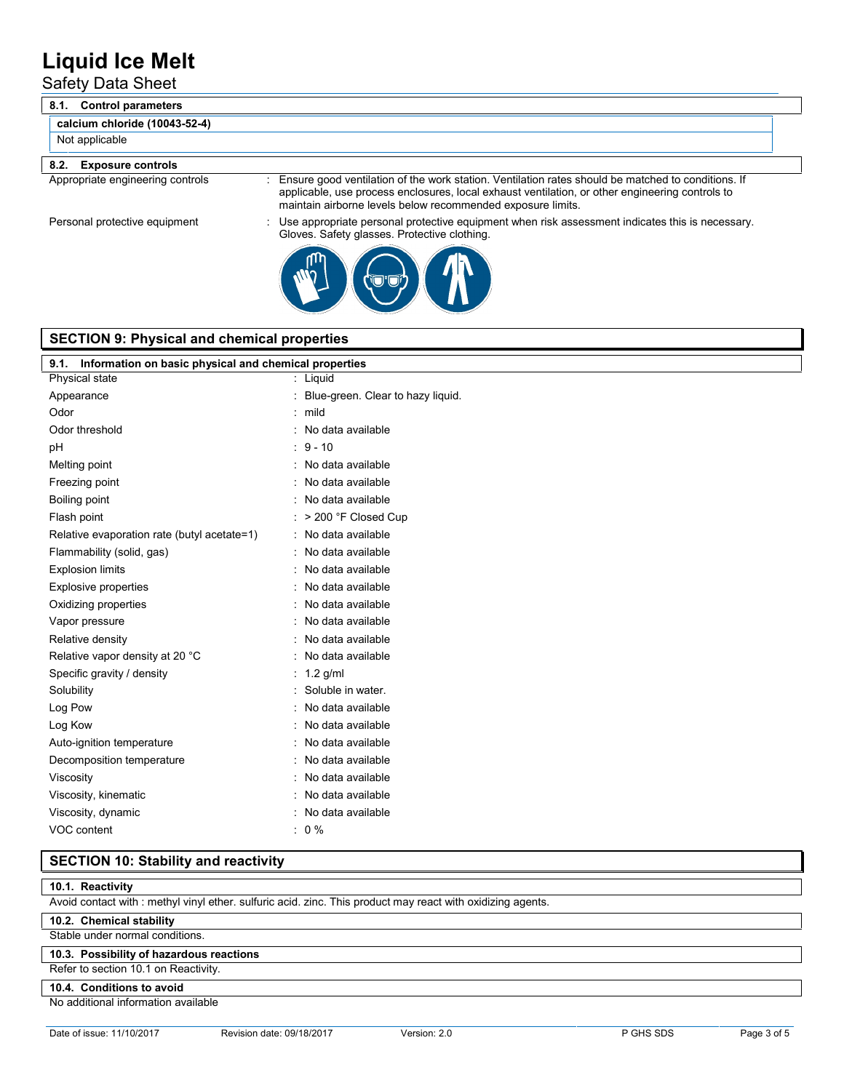Safety Data Sheet

| <b>Control parameters</b><br>8.1. |                                                                                                                                                                                                                                                                      |
|-----------------------------------|----------------------------------------------------------------------------------------------------------------------------------------------------------------------------------------------------------------------------------------------------------------------|
| calcium chloride (10043-52-4)     |                                                                                                                                                                                                                                                                      |
| Not applicable                    |                                                                                                                                                                                                                                                                      |
| 8.2. Exposure controls            |                                                                                                                                                                                                                                                                      |
| Appropriate engineering controls  | Ensure good ventilation of the work station. Ventilation rates should be matched to conditions. If<br>applicable, use process enclosures, local exhaust ventilation, or other engineering controls to<br>maintain airborne levels below recommended exposure limits. |

Personal protective equipment : Use appropriate personal protective equipment when risk assessment indicates this is necessary. Gloves. Safety glasses. Protective clothing.



### **SECTION 9: Physical and chemical properties**

| Information on basic physical and chemical properties<br>9.1. |                                   |  |  |
|---------------------------------------------------------------|-----------------------------------|--|--|
| Physical state                                                | Liquid                            |  |  |
| Appearance                                                    | Blue-green. Clear to hazy liquid. |  |  |
| Odor                                                          | mild                              |  |  |
| Odor threshold                                                | No data available                 |  |  |
| pH                                                            | $9 - 10$                          |  |  |
| Melting point                                                 | No data available                 |  |  |
| Freezing point                                                | No data available                 |  |  |
| Boiling point                                                 | No data available                 |  |  |
| Flash point                                                   | > 200 °F Closed Cup               |  |  |
| Relative evaporation rate (butyl acetate=1)                   | No data available                 |  |  |
| Flammability (solid, gas)                                     | No data available                 |  |  |
| <b>Explosion limits</b>                                       | No data available                 |  |  |
| <b>Explosive properties</b>                                   | No data available                 |  |  |
| Oxidizing properties                                          | No data available                 |  |  |
| Vapor pressure                                                | No data available                 |  |  |
| Relative density                                              | No data available                 |  |  |
| Relative vapor density at 20 °C                               | No data available                 |  |  |
| Specific gravity / density                                    | $1.2$ g/ml                        |  |  |
| Solubility                                                    | Soluble in water.                 |  |  |
| Log Pow                                                       | No data available                 |  |  |
| Log Kow                                                       | No data available                 |  |  |
| Auto-ignition temperature                                     | No data available                 |  |  |
| Decomposition temperature                                     | No data available                 |  |  |
| Viscosity                                                     | No data available                 |  |  |
| Viscosity, kinematic                                          | No data available                 |  |  |
| Viscosity, dynamic                                            | No data available                 |  |  |
| VOC content                                                   | $0\%$                             |  |  |

### **SECTION 10: Stability and reactivity**

#### **10.1. Reactivity**

Avoid contact with : methyl vinyl ether. sulfuric acid. zinc. This product may react with oxidizing agents.

#### **10.2. Chemical stability**

Stable under normal conditions.

### **10.3. Possibility of hazardous reactions**

Refer to section 10.1 on Reactivity.

### **10.4. Conditions to avoid**

No additional information available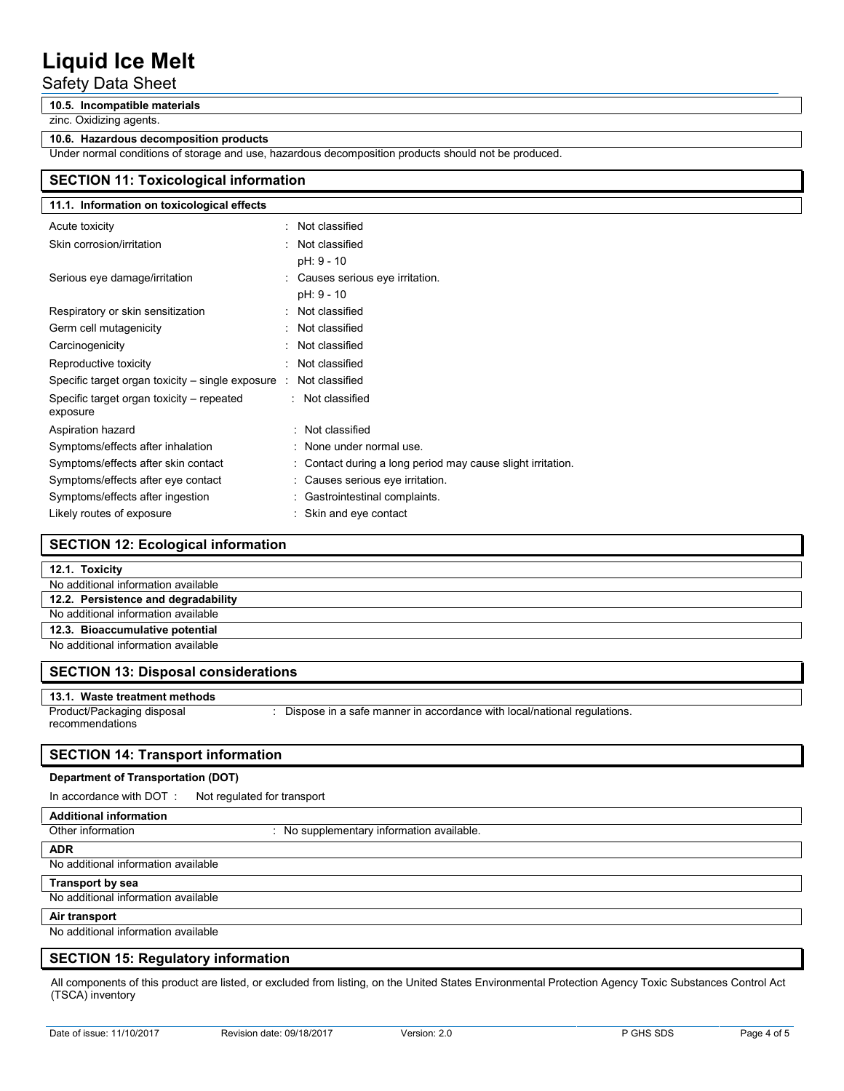## Safety Data Sheet

#### **10.5. Incompatible materials**

zinc. Oxidizing agents.

#### **10.6. Hazardous decomposition products**

Under normal conditions of storage and use, hazardous decomposition products should not be produced.

## **SECTION 11: Toxicological information**

| 11.1. Information on toxicological effects            |                                                             |
|-------------------------------------------------------|-------------------------------------------------------------|
| Acute toxicity                                        | Not classified                                              |
| Skin corrosion/irritation                             | Not classified                                              |
|                                                       | pH: 9 - 10                                                  |
| Serious eye damage/irritation                         | : Causes serious eye irritation.                            |
|                                                       | pH: 9 - 10                                                  |
| Respiratory or skin sensitization                     | : Not classified                                            |
| Germ cell mutagenicity                                | Not classified                                              |
| Carcinogenicity                                       | Not classified                                              |
| Reproductive toxicity                                 | Not classified                                              |
| Specific target organ toxicity $-$ single exposure :  | Not classified                                              |
| Specific target organ toxicity – repeated<br>exposure | : Not classified                                            |
| Aspiration hazard                                     | : Not classified                                            |
| Symptoms/effects after inhalation                     | : None under normal use.                                    |
| Symptoms/effects after skin contact                   | : Contact during a long period may cause slight irritation. |
| Symptoms/effects after eye contact                    | : Causes serious eye irritation.                            |
| Symptoms/effects after ingestion                      | : Gastrointestinal complaints.                              |
| Likely routes of exposure                             | Skin and eye contact                                        |

## **SECTION 12: Ecological information**

#### **12.1. Toxicity**

| No additional information available |  |  |
|-------------------------------------|--|--|
| 12.2. Persistence and degradability |  |  |
| No additional information available |  |  |
| 12.3. Bioaccumulative potential     |  |  |
| No additional information available |  |  |

#### **SECTION 13: Disposal considerations**

#### **13.1. Waste treatment methods**

Product/Packaging disposal recommendations : Dispose in a safe manner in accordance with local/national regulations.

#### **SECTION 14: Transport information**

#### **Department of Transportation (DOT)**

In accordance with DOT : Not regulated for transport

## **Additional information**

Other information **contains the contact of the Contract Contract Contract Contract Contract Contract Contract Contract Contract Contract Contract Contract Contract Contract Contract Contract Contract Contract Contract Cont** 

#### **ADR**

No additional information available

#### **Transport by sea**

No additional information available

#### **Air transport**

No additional information available

### **SECTION 15: Regulatory information**

All components of this product are listed, or excluded from listing, on the United States Environmental Protection Agency Toxic Substances Control Act (TSCA) inventory